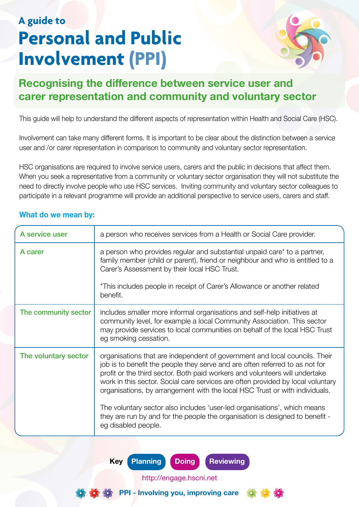## **A guide to Personal and Public Involvement (PPI)**



## **Recognising the difference between service user and carer representation and community and voluntary sector**

This guide will help to understand the different aspects of representation within Health and Social Care (HSC).

Involvement can take many different forms. It is important to be clear about the distinction between a service user and /or carer representation in comparison to community and voluntary sector representation.

HSC organisations are required to involve service users, carers and the public in decisions that affect them. When you seek a representative from a community or voluntary sector organisation they will not substitute the need to directly involve people who use HSC services. Inviting community and voluntary sector colleagues to participate in a relevant programme will provide an additional perspective to service users, carers and staff.

| A service user       | a person who receives services from a Health or Social Care provider.                                                                                                                                                                                                                                                                                                                                                                                                                                                                                                                          |
|----------------------|------------------------------------------------------------------------------------------------------------------------------------------------------------------------------------------------------------------------------------------------------------------------------------------------------------------------------------------------------------------------------------------------------------------------------------------------------------------------------------------------------------------------------------------------------------------------------------------------|
| A carer              | a person who provides regular and substantial unpaid care <sup>*</sup> to a partner,<br>family member (child or parent), friend or neighbour and who is entitled to a<br>Carer's Assessment by their local HSC Trust.<br>*This includes people in receipt of Carer's Allowance or another related                                                                                                                                                                                                                                                                                              |
|                      | benefit.                                                                                                                                                                                                                                                                                                                                                                                                                                                                                                                                                                                       |
| The community sector | includes smaller more informal organisations and self-help initiatives at<br>community level, for example a local Community Association. This sector<br>may provide services to local communities on behalf of the local HSC Trust<br>eg smoking cessation.                                                                                                                                                                                                                                                                                                                                    |
| The voluntary sector | organisations that are independent of government and local councils. Their<br>job is to benefit the people they serve and are often referred to as not for<br>profit or the third sector. Both paid workers and volunteers will undertake<br>work in this sector. Social care services are often provided by local voluntary<br>organisations, by arrangement with the local HSC Trust or with individuals.<br>The voluntary sector also includes 'user-led organisations', which means<br>they are run by and for the people the organisation is designed to benefit -<br>eg disabled people. |

## **What do we mean by:**

**Key Planning Doing Reviewing**



http://engage.hscni.net

**PPI - Involving you, improving care**